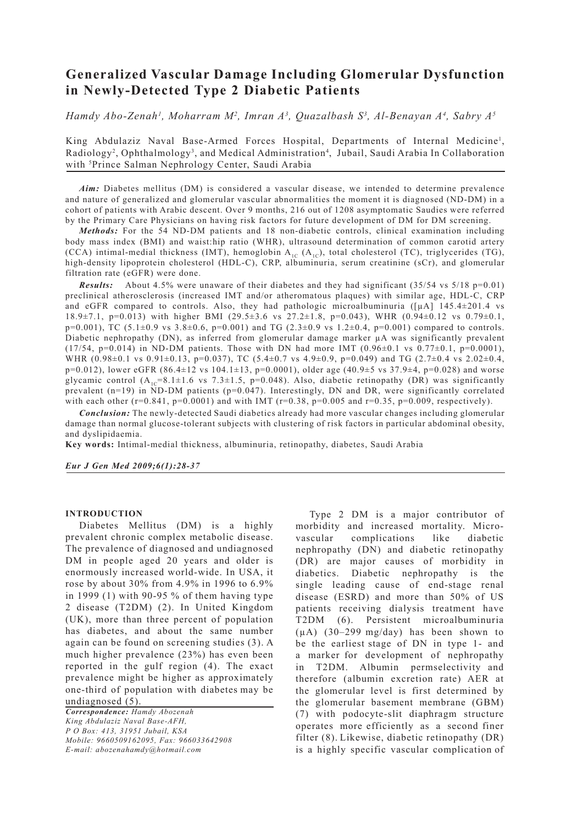# **Generalized Vascular Damage Including Glomerular Dysfunction in Newly-Detected Type 2 Diabetic Patients**

*Hamdy Abo-Zenah1 , Moharram M2 , Imran A3 , Quazalbash S3 , Al-Benayan A4 , Sabry A5*

King Abdulaziz Naval Base-Armed Forces Hospital, Departments of Internal Medicine<sup>1</sup>, Radiology<sup>2</sup>, Ophthalmology<sup>3</sup>, and Medical Administration<sup>4</sup>, Jubail, Saudi Arabia In Collaboration with 5 Prince Salman Nephrology Center, Saudi Arabia

*Aim:* Diabetes mellitus (DM) is considered a vascular disease, we intended to determine prevalence and nature of generalized and glomerular vascular abnormalities the moment it is diagnosed (ND-DM) in a cohort of patients with Arabic descent. Over 9 months, 216 out of 1208 asymptomatic Saudies were referred by the Primary Care Physicians on having risk factors for future development of DM for DM screening.

*Methods:* For the 54 ND-DM patients and 18 non-diabetic controls, clinical examination including body mass index (BMI) and waist:hip ratio (WHR), ultrasound determination of common carotid artery (CCA) intimal-medial thickness (IMT), hemoglobin  $A_{1C}$  ( $A_{1C}$ ), total cholesterol (TC), triglycerides (TG), high-density lipoprotein cholesterol (HDL-C), CRP, albuminuria, serum creatinine (sCr), and glomerular filtration rate (eGFR) were done.

*Results:* About 4.5% were unaware of their diabetes and they had significant (35/54 vs 5/18 p=0.01) preclinical atherosclerosis (increased IMT and/or atheromatous plaques) with similar age, HDL-C, CRP and eGFR compared to controls. Also, they had pathologic microalbuminuria  $([\mu A]$  145.4 $\pm$ 201.4 vs 18.9±7.1, p=0.013) with higher BMI (29.5±3.6 vs 27.2±1.8, p=0.043), WHR (0.94±0.12 vs 0.79±0.1,  $p=0.001$ ), TC (5.1±0.9 vs 3.8±0.6,  $p=0.001$ ) and TG (2.3±0.9 vs 1.2±0.4,  $p=0.001$ ) compared to controls. Diabetic nephropathy (DN), as inferred from glomerular damage marker µA was significantly prevalent  $(17/54, p=0.014)$  in ND-DM patients. Those with DN had more IMT  $(0.96\pm0.1 \text{ vs } 0.77\pm0.1, p=0.0001)$ , WHR (0.98 $\pm$ 0.1 vs 0.91 $\pm$ 0.13, p=0.037), TC (5.4 $\pm$ 0.7 vs 4.9 $\pm$ 0.9, p=0.049) and TG (2.7 $\pm$ 0.4 vs 2.02 $\pm$ 0.4, p=0.012), lower eGFR (86.4±12 vs 104.1±13, p=0.0001), older age (40.9±5 vs 37.9±4, p=0.028) and worse glycamic control  $(A_{1c}=8.1\pm1.6 \text{ vs } 7.3\pm1.5, p=0.048)$ . Also, diabetic retinopathy (DR) was significantly prevalent (n=19) in ND-DM patients (p=0.047). Interestingly, DN and DR, were significantly correlated with each other (r=0.841, p=0.0001) and with IMT (r=0.38, p=0.005 and r=0.35, p=0.009, respectively).

*Conclusion:* The newly-detected Saudi diabetics already had more vascular changes including glomerular damage than normal glucose-tolerant subjects with clustering of risk factors in particular abdominal obesity, and dyslipidaemia.

**Key words:** Intimal-medial thickness, albuminuria, retinopathy, diabetes, Saudi Arabia

*Eur J Gen Med 2009;6(1):28-37*

## **INTRODUCTION**

Diabetes Mellitus (DM) is a highly prevalent chronic complex metabolic disease. The prevalence of diagnosed and undiagnosed DM in people aged 20 years and older is enormously increased world-wide. In USA, it rose by about 30% from 4.9% in 1996 to 6.9% in 1999 (1) with 90-95 % of them having type 2 disease (T2DM) (2). In United Kingdom (UK), more than three percent of population has diabetes, and about the same number again can be found on screening studies (3). A much higher prevalence (23%) has even been reported in the gulf region (4). The exact prevalence might be higher as approximately one-third of population with diabetes may be undiagnosed (5).

*Correspondence: Hamdy Abozenah King Abdulaziz Naval Base-AFH, P O Box: 413, 31951 Jubail, KSA Mobile: 9660509162095, Fax: 966033642908 E-mail: abozenahamdy@hotmail.com*

Type 2 DM is a major contributor of morbidity and increased mortality. Microvascular complications like diabetic nephropathy (DN) and diabetic retinopathy (DR) are major causes of morbidity in diabetics. Diabetic nephropathy is the single leading cause of end-stage renal disease (ESRD) and more than 50% of US patients receiving dialysis treatment have T2DM (6). Persistent microalbuminuria (µA) (30–299 mg/day) has been shown to be the earliest stage of DN in type 1- and a marker for development of nephropathy in T2DM. Albumin permselectivity and therefore (albumin excretion rate) AER at the glomerular level is first determined by the glomerular basement membrane (GBM) (7) with podocyte-slit diaphragm structure operates more efficiently as a second finer filter (8). Likewise, diabetic retinopathy (DR) is a highly specific vascular complication of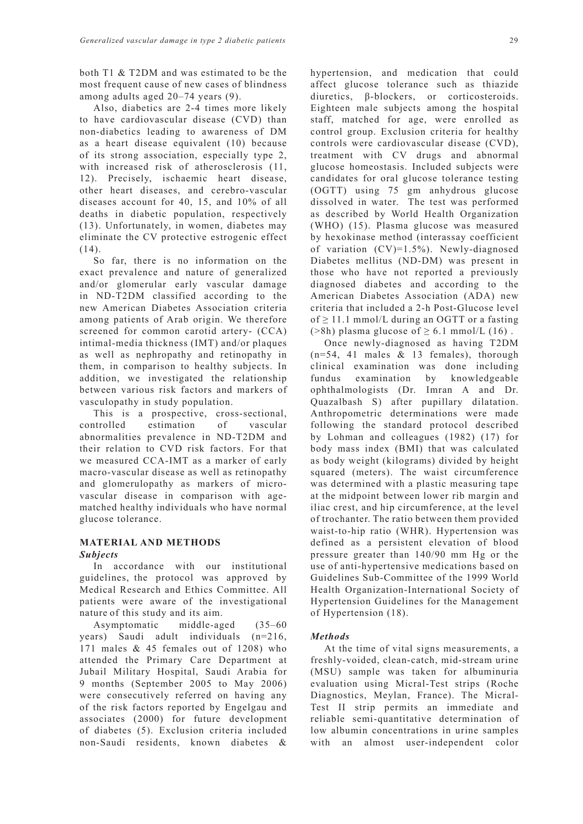both T1 & T2DM and was estimated to be the most frequent cause of new cases of blindness among adults aged 20–74 years (9).

Also, diabetics are 2-4 times more likely to have cardiovascular disease (CVD) than non-diabetics leading to awareness of DM as a heart disease equivalent (10) because of its strong association, especially type 2, with increased risk of atherosclerosis  $(11,$ 12). Precisely, ischaemic heart disease, other heart diseases, and cerebro-vascular diseases account for 40, 15, and 10% of all deaths in diabetic population, respectively (13). Unfortunately, in women, diabetes may eliminate the CV protective estrogenic effect (14).

So far, there is no information on the exact prevalence and nature of generalized and/or glomerular early vascular damage in ND-T2DM classified according to the new American Diabetes Association criteria among patients of Arab origin. We therefore screened for common carotid artery- (CCA) intimal-media thickness (IMT) and/or plaques as well as nephropathy and retinopathy in them, in comparison to healthy subjects. In addition, we investigated the relationship between various risk factors and markers of vasculopathy in study population.

This is a prospective, cross-sectional, controlled estimation of vascular abnormalities prevalence in ND-T2DM and their relation to CVD risk factors. For that we measured CCA-IMT as a marker of early macro-vascular disease as well as retinopathy and glomerulopathy as markers of microvascular disease in comparison with agematched healthy individuals who have normal glucose tolerance.

## **MATERIAL AND METHODS** *Subjects*

In accordance with our institutional guidelines, the protocol was approved by Medical Research and Ethics Committee. All patients were aware of the investigational nature of this study and its aim.

Asymptomatic middle-aged (35–60 years) Saudi adult individuals (n=216, 171 males & 45 females out of 1208) who attended the Primary Care Department at Jubail Military Hospital, Saudi Arabia for 9 months (September 2005 to May 2006) were consecutively referred on having any of the risk factors reported by Engelgau and associates (2000) for future development of diabetes (5). Exclusion criteria included non-Saudi residents, known diabetes & hypertension, and medication that could affect glucose tolerance such as thiazide diuretics, β-blockers, or corticosteroids. Eighteen male subjects among the hospital staff, matched for age, were enrolled as control group. Exclusion criteria for healthy controls were cardiovascular disease (CVD), treatment with CV drugs and abnormal glucose homeostasis. Included subjects were candidates for oral glucose tolerance testing (OGTT) using 75 gm anhydrous glucose dissolved in water. The test was performed as described by World Health Organization (WHO) (15). Plasma glucose was measured by hexokinase method (interassay coefficient of variation (CV)=1.5%). Newly-diagnosed Diabetes mellitus (ND-DM) was present in those who have not reported a previously diagnosed diabetes and according to the American Diabetes Association (ADA) new criteria that included a 2-h Post-Glucose level of  $\geq$  11.1 mmol/L during an OGTT or a fasting (>8h) plasma glucose of  $\geq 6.1$  mmol/L (16).

Once newly-diagnosed as having T2DM  $(n=54, 41$  males  $\&$  13 females), thorough clinical examination was done including fundus examination by knowledgeable ophthalmologists (Dr. Imran A and Dr. Quazalbash S) after pupillary dilatation. Anthropometric determinations were made following the standard protocol described by Lohman and colleagues (1982) (17) for body mass index (BMI) that was calculated as body weight (kilograms) divided by height squared (meters). The waist circumference was determined with a plastic measuring tape at the midpoint between lower rib margin and iliac crest, and hip circumference, at the level of trochanter. The ratio between them provided waist-to-hip ratio (WHR). Hypertension was defined as a persistent elevation of blood pressure greater than 140/90 mm Hg or the use of anti-hypertensive medications based on Guidelines Sub-Committee of the 1999 World Health Organization-International Society of Hypertension Guidelines for the Management of Hypertension (18).

## *Methods*

At the time of vital signs measurements, a freshly-voided, clean-catch, mid-stream urine (MSU) sample was taken for albuminuria evaluation using Micral-Test strips (Roche Diagnostics, Meylan, France). The Micral-Test II strip permits an immediate and reliable semi-quantitative determination of low albumin concentrations in urine samples with an almost user-independent color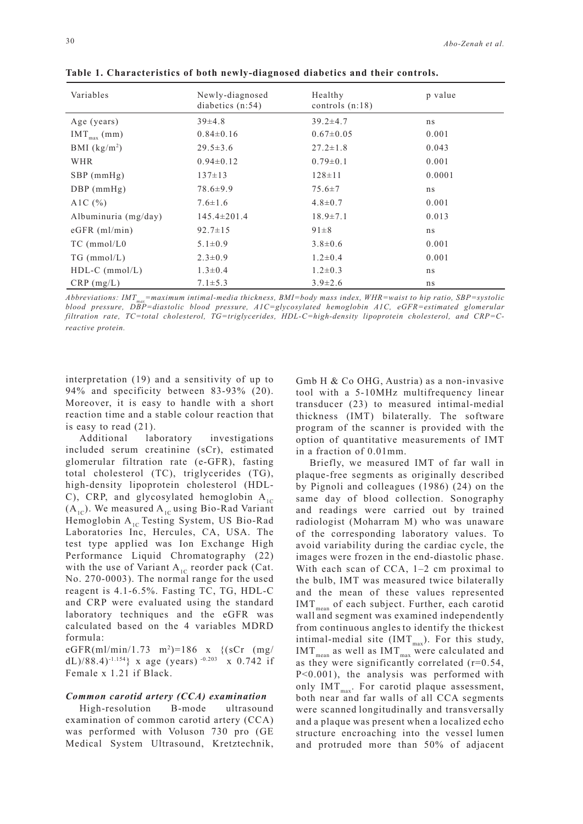| Variables                | Newly-diagnosed<br>diabetics $(n:54)$ | Healthy<br>controls $(n:18)$ | p value |
|--------------------------|---------------------------------------|------------------------------|---------|
| Age (years)              | $39\pm4.8$                            | $39.2 \pm 4.7$               | ns      |
| $IMT_{max}$ (mm)         | $0.84\pm0.16$                         | $0.67 \pm 0.05$              | 0.001   |
| BMI $(kg/m2)$            | $29.5 \pm 3.6$                        | $27.2 \pm 1.8$               | 0.043   |
| WHR                      | $0.94\pm0.12$                         | $0.79 \pm 0.1$               | 0.001   |
| $SBP$ (mmHg)             | $137 \pm 13$                          | $128 \pm 11$                 | 0.0001  |
| $DBP$ (mmHg)             | $78.6 \pm 9.9$                        | $75.6 \pm 7$                 | ns      |
| A <sub>1</sub> C $(\% )$ | $7.6 \pm 1.6$                         | $4.8 \pm 0.7$                | 0.001   |
| Albuminuria (mg/day)     | $145.4 \pm 201.4$                     | $18.9 \pm 7.1$               | 0.013   |
| $eGFR$ (ml/min)          | $92.7 \pm 15$                         | $91 \pm 8$                   | ns      |
| $TC$ (mmol/ $L0$         | $5.1 \pm 0.9$                         | $3.8 \pm 0.6$                | 0.001   |
| $TG \ (mmol/L)$          | $2.3 \pm 0.9$                         | $1.2 \pm 0.4$                | 0.001   |
| $HDL-C$ (mmol/L)         | $1.3 \pm 0.4$                         | $1.2 \pm 0.3$                | ns      |
| $CRP$ (mg/L)             | $7.1 \pm 5.3$                         | $3.9 \pm 2.6$                | ns      |

**Table 1. Characteristics of both newly-diagnosed diabetics and their controls.**

*Abbreviations: IMTmax=maximum intimal-media thickness, BMI=body mass index, WHR=waist to hip ratio, SBP=systolic blood pressure, DBP=diastolic blood pressure, A1C=glycosylated hemoglobin A1C, eGFR=estimated glomerular filtration rate, TC=total cholesterol, TG=triglycerides, HDL-C=high-density lipoprotein cholesterol, and CRP=Creactive protein.* 

interpretation (19) and a sensitivity of up to 94% and specificity between 83-93% (20). Moreover, it is easy to handle with a short reaction time and a stable colour reaction that is easy to read (21).

Additional laboratory investigations included serum creatinine (sCr), estimated glomerular filtration rate (e-GFR), fasting total cholesterol (TC), triglycerides (TG), high-density lipoprotein cholesterol (HDL-C), CRP, and glycosylated hemoglobin  $A_{1C}$  $(A_{1C})$ . We measured  $A_{1C}$  using Bio-Rad Variant Hemoglobin  $A_{1C}$  Testing System, US Bio-Rad Laboratories Inc, Hercules, CA, USA. The test type applied was Ion Exchange High Performance Liquid Chromatography (22) with the use of Variant  $A_{1C}$  reorder pack (Cat. No. 270-0003). The normal range for the used reagent is 4.1-6.5%. Fasting TC, TG, HDL-C and CRP were evaluated using the standard laboratory techniques and the eGFR was calculated based on the 4 variables MDRD formula:

eGFR(ml/min/1.73 m2 )=186 x {(sCr (mg/ dL)/88.4)<sup>-1.154</sup>} x age (years)<sup>-0.203</sup> x 0.742 if Female x 1.21 if Black.

### *Common carotid artery (CCA) examination*

High-resolution B-mode ultrasound examination of common carotid artery (CCA) was performed with Voluson 730 pro (GE Medical System Ultrasound, Kretztechnik,

Gmb H & Co OHG, Austria) as a non-invasive tool with a 5-10MHz multifrequency linear transducer (23) to measured intimal-medial thickness (IMT) bilaterally. The software program of the scanner is provided with the option of quantitative measurements of IMT in a fraction of 0.01mm.

Briefly, we measured IMT of far wall in plaque-free segments as originally described by Pignoli and colleagues (1986) (24) on the same day of blood collection. Sonography and readings were carried out by trained radiologist (Moharram M) who was unaware of the corresponding laboratory values. To avoid variability during the cardiac cycle, the images were frozen in the end-diastolic phase. With each scan of CCA, 1-2 cm proximal to the bulb, IMT was measured twice bilaterally and the mean of these values represented  $IMT<sub>mean</sub>$  of each subject. Further, each carotid wall and segment was examined independently from continuous angles to identify the thickest intimal-medial site (IMT $_{max}$ ). For this study,  $IMT<sub>mean</sub>$  as well as  $IMT<sub>max</sub>$  were calculated and as they were significantly correlated  $(r=0.54)$ , P<0.001), the analysis was performed with only  $IMT<sub>max</sub>$ . For carotid plaque assessment, both near and far walls of all CCA segments were scanned longitudinally and transversally and a plaque was present when a localized echo structure encroaching into the vessel lumen and protruded more than 50% of adjacent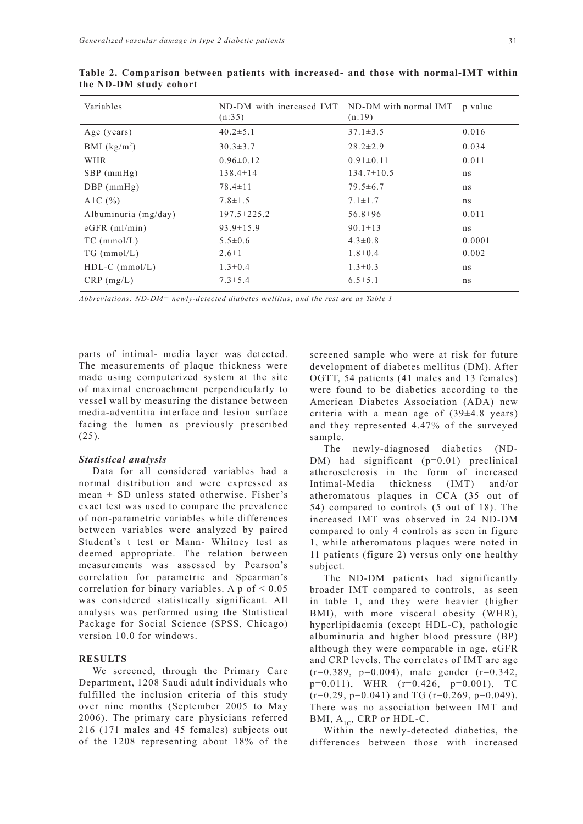| Variables              | ND-DM with increased IMT<br>(n:35) | ND-DM with normal IMT<br>(n:19) | p value |
|------------------------|------------------------------------|---------------------------------|---------|
| Age (years)            | $40.2 \pm 5.1$                     | $37.1 \pm 3.5$                  | 0.016   |
| BMI $(kg/m2)$          | $30.3 \pm 3.7$                     | $28.2 \pm 2.9$                  | 0.034   |
| WHR                    | $0.96 \pm 0.12$                    | $0.91 \pm 0.11$                 | 0.011   |
| $SBP$ (mmHg)           | $138.4 \pm 14$                     | $134.7 \pm 10.5$                | ns      |
| $DBP$ (mmHg)           | $78.4 \pm 11$                      | $79.5 \pm 6.7$                  | ns      |
| A1C $(\% )$            | $7.8 \pm 1.5$                      | $7.1 \pm 1.7$                   | ns      |
| Albuminuria $(mg/day)$ | $197.5 \pm 225.2$                  | $56.8 \pm 96$                   | 0.011   |
| $eGFR$ (ml/min)        | $93.9 \pm 15.9$                    | $90.1 \pm 13$                   | ns      |
| $TC$ (mmol/L)          | $5.5 \pm 0.6$                      | $4.3 \pm 0.8$                   | 0.0001  |
| $TG$ (mmol/L)          | $2.6 \pm 1$                        | $1.8 \pm 0.4$                   | 0.002   |
| $HDL-C$ (mmol/L)       | $1.3 \pm 0.4$                      | $1.3 \pm 0.3$                   | ns      |
| $CRP$ (mg/L)           | $7.3 \pm 5.4$                      | $6.5 \pm 5.1$                   | ns      |

**Table 2. Comparison between patients with increased- and those with normal-IMT within the ND-DM study cohort**

*Abbreviations: ND-DM= newly-detected diabetes mellitus, and the rest are as Table 1*

parts of intimal- media layer was detected. The measurements of plaque thickness were made using computerized system at the site of maximal encroachment perpendicularly to vessel wall by measuring the distance between media-adventitia interface and lesion surface facing the lumen as previously prescribed (25).

## *Statistical analysis*

Data for all considered variables had a normal distribution and were expressed as mean  $\pm$  SD unless stated otherwise. Fisher's exact test was used to compare the prevalence of non-parametric variables while differences between variables were analyzed by paired Student's t test or Mann- Whitney test as deemed appropriate. The relation between measurements was assessed by Pearson's correlation for parametric and Spearman's correlation for binary variables. A  $p$  of  $\leq 0.05$ was considered statistically significant. All analysis was performed using the Statistical Package for Social Science (SPSS, Chicago) version 10.0 for windows.

# **RESULTS**

We screened, through the Primary Care Department, 1208 Saudi adult individuals who fulfilled the inclusion criteria of this study over nine months (September 2005 to May 2006). The primary care physicians referred 216 (171 males and 45 females) subjects out of the 1208 representing about 18% of the

screened sample who were at risk for future development of diabetes mellitus (DM). After OGTT, 54 patients (41 males and 13 females) were found to be diabetics according to the American Diabetes Association (ADA) new criteria with a mean age of  $(39\pm4.8 \text{ years})$ and they represented 4.47% of the surveyed sample.

The newly-diagnosed diabetics (ND-DM) had significant (p=0.01) preclinical atherosclerosis in the form of increased Intimal-Media thickness (IMT) and/or atheromatous plaques in CCA (35 out of 54) compared to controls (5 out of 18). The increased IMT was observed in 24 ND-DM compared to only 4 controls as seen in figure 1, while atheromatous plaques were noted in 11 patients (figure 2) versus only one healthy subject.

The ND-DM patients had significantly broader IMT compared to controls, as seen in table 1, and they were heavier (higher BMI), with more visceral obesity (WHR), hyperlipidaemia (except HDL-C), pathologic albuminuria and higher blood pressure (BP) although they were comparable in age, eGFR and CRP levels. The correlates of IMT are age  $(r=0.389, p=0.004)$ , male gender  $(r=0.342,$ p=0.011), WHR (r=0.426, p=0.001), TC  $(r=0.29, p=0.041)$  and TG  $(r=0.269, p=0.049)$ . There was no association between IMT and BMI,  $A_{1C}$ , CRP or HDL-C.

Within the newly-detected diabetics, the differences between those with increased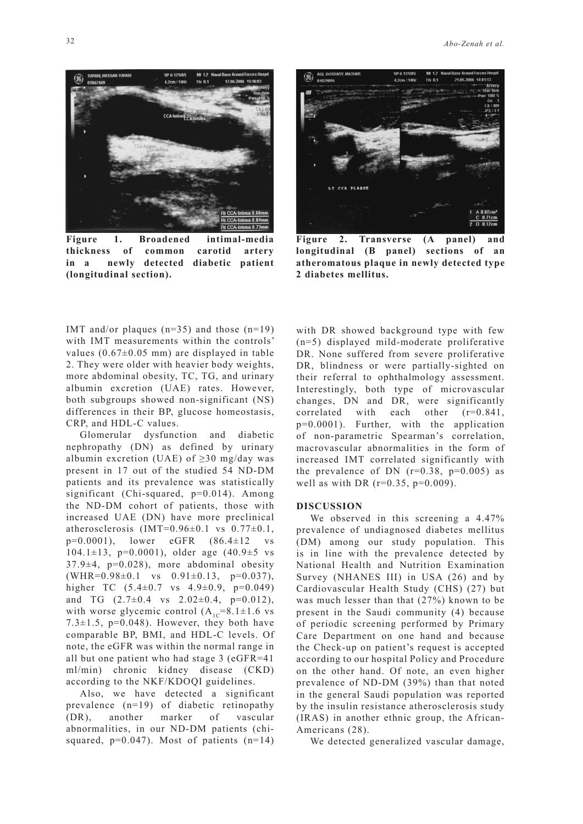

**Figure 1. Broadened intimal-media thickness of common carotid artery in a newly detected diabetic patient (longitudinal section).**

LT CCA PLAQUE

**Figure 2. Transverse (A panel) and longitudinal (B panel) sections of an atheromatous plaque in newly detected type 2 diabetes mellitus.**

IMT and/or plaques  $(n=35)$  and those  $(n=19)$ with IMT measurements within the controls' values  $(0.67\pm0.05$  mm) are displayed in table 2. They were older with heavier body weights, more abdominal obesity, TC, TG, and urinary albumin excretion (UAE) rates. However, both subgroups showed non-significant (NS) differences in their BP, glucose homeostasis, CRP, and HDL-C values.

Glomerular dysfunction and diabetic nephropathy (DN) as defined by urinary albumin excretion (UAE) of  $>30$  mg/day was present in 17 out of the studied 54 ND-DM patients and its prevalence was statistically significant (Chi-squared,  $p=0.014$ ). Among the ND-DM cohort of patients, those with increased UAE (DN) have more preclinical atherosclerosis  $(IMT=0.96\pm0.1$  vs  $0.77\pm0.1$ ,  $p=0.0001$ ), lower eGFR  $(86.4\pm12)$ 104.1 $\pm$ 13, p=0.0001), older age (40.9 $\pm$ 5 vs  $37.9\pm4$ ,  $p=0.028$ ), more abdominal obesity  $(WHR=0.98\pm0.1$  vs  $0.91\pm0.13$ ,  $p=0.037$ ), higher TC  $(5.4\pm0.7 \text{ vs } 4.9\pm0.9, \text{ p=0.049})$ and TG  $(2.7\pm0.4 \text{ vs } 2.02\pm0.4, \text{ p=0.012}),$ with worse glycemic control  $(A_{1C}=8.1\pm1.6 \text{ vs }$ 7.3 $\pm$ 1.5, p=0.048). However, they both have comparable BP, BMI, and HDL-C levels. Of note, the eGFR was within the normal range in all but one patient who had stage 3 (eGFR=41 ml/min) chronic kidney disease (CKD) according to the NKF/KDOQI guidelines.

Also, we have detected a significant prevalence (n=19) of diabetic retinopathy (DR), another marker of vascular abnormalities, in our ND-DM patients (chisquared,  $p=0.047$ ). Most of patients  $(n=14)$  with DR showed background type with few (n=5) displayed mild-moderate proliferative DR. None suffered from severe proliferative DR, blindness or were partially-sighted on their referral to ophthalmology assessment. Interestingly, both type of microvascular changes, DN and DR, were significantly correlated with each other (r=0.841, p=0.0001). Further, with the application of non-parametric Spearman's correlation, macrovascular abnormalities in the form of increased IMT correlated significantly with the prevalence of DN  $(r=0.38, p=0.005)$  as well as with DR ( $r=0.35$ ,  $p=0.009$ ).

## **DISCUSSION**

We observed in this screening a 4.47% prevalence of undiagnosed diabetes mellitus (DM) among our study population. This is in line with the prevalence detected by National Health and Nutrition Examination Survey (NHANES III) in USA (26) and by Cardiovascular Health Study (CHS) (27) but was much lesser than that (27%) known to be present in the Saudi community (4) because of periodic screening performed by Primary Care Department on one hand and because the Check-up on patient's request is accepted according to our hospital Policy and Procedure on the other hand. Of note, an even higher prevalence of ND-DM (39%) than that noted in the general Saudi population was reported by the insulin resistance atherosclerosis study (IRAS) in another ethnic group, the African-Americans (28).

We detected generalized vascular damage,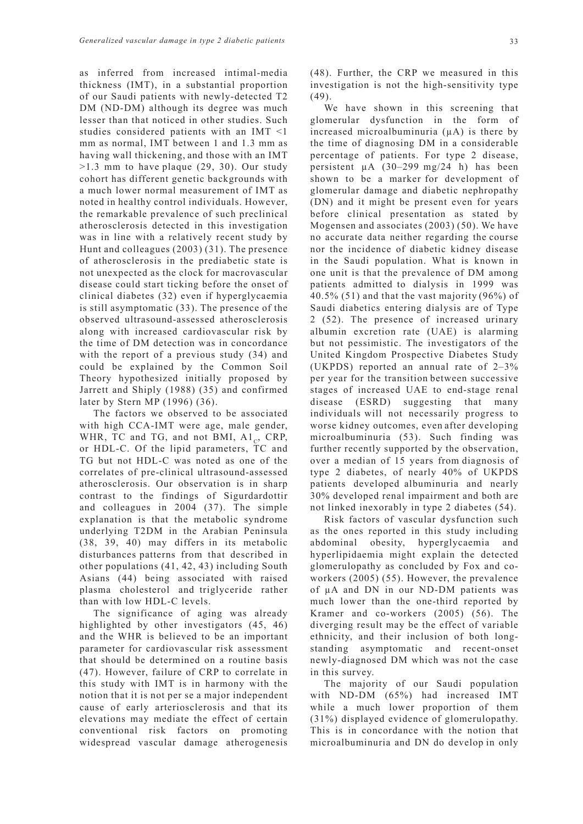as inferred from increased intimal-media thickness (IMT), in a substantial proportion of our Saudi patients with newly-detected T2 DM (ND-DM) although its degree was much lesser than that noticed in other studies. Such studies considered patients with an IMT <1 mm as normal, IMT between 1 and 1.3 mm as having wall thickening, and those with an IMT  $>1.3$  mm to have plaque (29, 30). Our study cohort has different genetic backgrounds with a much lower normal measurement of IMT as noted in healthy control individuals. However, the remarkable prevalence of such preclinical atherosclerosis detected in this investigation was in line with a relatively recent study by Hunt and colleagues (2003) (31). The presence of atherosclerosis in the prediabetic state is not unexpected as the clock for macrovascular disease could start ticking before the onset of clinical diabetes (32) even if hyperglycaemia is still asymptomatic (33). The presence of the observed ultrasound-assessed atherosclerosis along with increased cardiovascular risk by the time of DM detection was in concordance with the report of a previous study (34) and could be explained by the Common Soil Theory hypothesized initially proposed by Jarrett and Shiply (1988) (35) and confirmed later by Stern MP (1996) (36).

The factors we observed to be associated with high CCA-IMT were age, male gender, WHR, TC and TG, and not BMI,  $A1_c$ , CRP, or HDL-C. Of the lipid parameters, TC and TG but not HDL-C was noted as one of the correlates of pre-clinical ultrasound-assessed atherosclerosis. Our observation is in sharp contrast to the findings of Sigurdardottir and colleagues in 2004 (37). The simple explanation is that the metabolic syndrome underlying T2DM in the Arabian Peninsula (38, 39, 40) may differs in its metabolic disturbances patterns from that described in other populations (41, 42, 43) including South Asians (44) being associated with raised plasma cholesterol and triglyceride rather than with low HDL-C levels.

The significance of aging was already highlighted by other investigators (45, 46) and the WHR is believed to be an important parameter for cardiovascular risk assessment that should be determined on a routine basis (47). However, failure of CRP to correlate in this study with IMT is in harmony with the notion that it is not per se a major independent cause of early arteriosclerosis and that its elevations may mediate the effect of certain conventional risk factors on promoting widespread vascular damage atherogenesis

We have shown in this screening that glomerular dysfunction in the form of increased microalbuminuria (µA) is there by the time of diagnosing DM in a considerable percentage of patients. For type 2 disease, persistent µA (30–299 mg/24 h) has been shown to be a marker for development of glomerular damage and diabetic nephropathy (DN) and it might be present even for years before clinical presentation as stated by Mogensen and associates (2003) (50). We have no accurate data neither regarding the course nor the incidence of diabetic kidney disease in the Saudi population. What is known in one unit is that the prevalence of DM among patients admitted to dialysis in 1999 was 40.5% (51) and that the vast majority (96%) of Saudi diabetics entering dialysis are of Type 2 (52). The presence of increased urinary albumin excretion rate (UAE) is alarming but not pessimistic. The investigators of the United Kingdom Prospective Diabetes Study (UKPDS) reported an annual rate of 2–3% per year for the transition between successive stages of increased UAE to end-stage renal disease (ESRD) suggesting that many individuals will not necessarily progress to worse kidney outcomes, even after developing microalbuminuria (53). Such finding was further recently supported by the observation, over a median of 15 years from diagnosis of type 2 diabetes, of nearly 40% of UKPDS patients developed albuminuria and nearly 30% developed renal impairment and both are not linked inexorably in type 2 diabetes (54).

Risk factors of vascular dysfunction such as the ones reported in this study including abdominal obesity, hyperglycaemia and hyperlipidaemia might explain the detected glomerulopathy as concluded by Fox and coworkers (2005) (55). However, the prevalence of µA and DN in our ND-DM patients was much lower than the one-third reported by Kramer and co-workers (2005) (56). The diverging result may be the effect of variable ethnicity, and their inclusion of both longstanding asymptomatic and recent-onset newly-diagnosed DM which was not the case in this survey.

The majority of our Saudi population with ND-DM (65%) had increased IMT while a much lower proportion of them (31%) displayed evidence of glomerulopathy. This is in concordance with the notion that microalbuminuria and DN do develop in only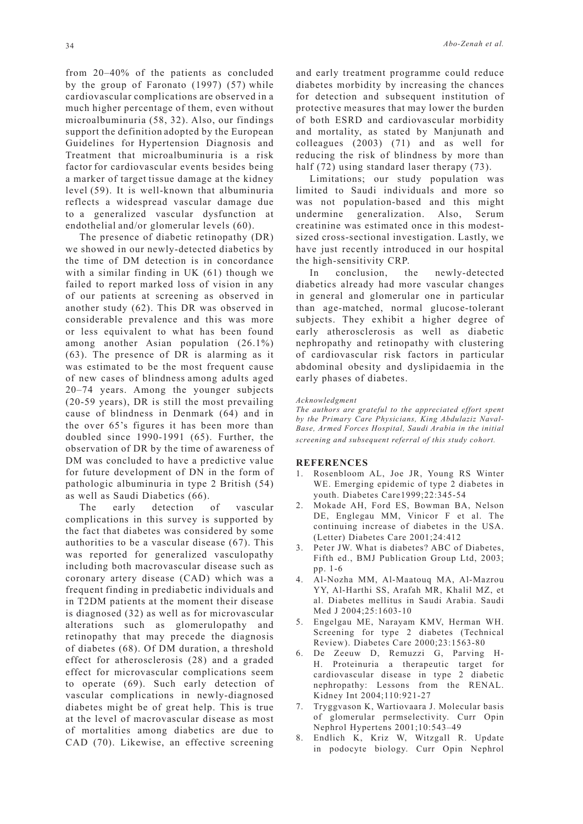from 20–40% of the patients as concluded by the group of Faronato (1997) (57) while cardiovascular complications are observed in a much higher percentage of them, even without microalbuminuria (58, 32). Also, our findings support the definition adopted by the European Guidelines for Hypertension Diagnosis and Treatment that microalbuminuria is a risk factor for cardiovascular events besides being a marker of target tissue damage at the kidney level (59). It is well-known that albuminuria reflects a widespread vascular damage due to a generalized vascular dysfunction at endothelial and/or glomerular levels (60).

The presence of diabetic retinopathy (DR) we showed in our newly-detected diabetics by the time of DM detection is in concordance with a similar finding in UK (61) though we failed to report marked loss of vision in any of our patients at screening as observed in another study (62). This DR was observed in considerable prevalence and this was more or less equivalent to what has been found among another Asian population (26.1%) (63). The presence of DR is alarming as it was estimated to be the most frequent cause of new cases of blindness among adults aged 20–74 years. Among the younger subjects (20-59 years), DR is still the most prevailing cause of blindness in Denmark (64) and in the over 65's figures it has been more than doubled since 1990-1991 (65). Further, the observation of DR by the time of awareness of DM was concluded to have a predictive value for future development of DN in the form of pathologic albuminuria in type 2 British (54) as well as Saudi Diabetics (66).

The early detection of vascular complications in this survey is supported by the fact that diabetes was considered by some authorities to be a vascular disease (67). This was reported for generalized vasculopathy including both macrovascular disease such as coronary artery disease (CAD) which was a frequent finding in prediabetic individuals and in T2DM patients at the moment their disease is diagnosed (32) as well as for microvascular alterations such as glomerulopathy and retinopathy that may precede the diagnosis of diabetes (68). Of DM duration, a threshold effect for atherosclerosis (28) and a graded effect for microvascular complications seem to operate (69). Such early detection of vascular complications in newly-diagnosed diabetes might be of great help. This is true at the level of macrovascular disease as most of mortalities among diabetics are due to CAD (70). Likewise, an effective screening

and early treatment programme could reduce diabetes morbidity by increasing the chances for detection and subsequent institution of protective measures that may lower the burden of both ESRD and cardiovascular morbidity and mortality, as stated by Manjunath and colleagues (2003) (71) and as well for reducing the risk of blindness by more than half (72) using standard laser therapy (73).

Limitations; our study population was limited to Saudi individuals and more so was not population-based and this might undermine generalization. Also, Serum creatinine was estimated once in this modestsized cross-sectional investigation. Lastly, we have just recently introduced in our hospital the high-sensitivity CRP.

In conclusion, the newly-detected diabetics already had more vascular changes in general and glomerular one in particular than age-matched, normal glucose-tolerant subjects. They exhibit a higher degree of early atherosclerosis as well as diabetic nephropathy and retinopathy with clustering of cardiovascular risk factors in particular abdominal obesity and dyslipidaemia in the early phases of diabetes.

#### *Acknowledgment*

*The authors are grateful to the appreciated effort spent by the Primary Care Physicians, King Abdulaziz Naval-Base, Armed Forces Hospital, Saudi Arabia in the initial screening and subsequent referral of this study cohort.*

#### **REFERENCES**

- 1. Rosenbloom AL, Joe JR, Young RS Winter WE. Emerging epidemic of type 2 diabetes in youth. Diabetes Care1999;22:345-54
- 2. Mokade AH, Ford ES, Bowman BA, Nelson DE, Englegau MM, Vinicor F et al. The continuing increase of diabetes in the USA. (Letter) Diabetes Care 2001;24:412
- 3. Peter JW. What is diabetes? ABC of Diabetes, Fifth ed., BMJ Publication Group Ltd, 2003; pp. 1-6
- 4. Al-Nozha MM, Al-Maatouq MA, Al-Mazrou YY, Al-Harthi SS, Arafah MR, Khalil MZ, et al. Diabetes mellitus in Saudi Arabia. Saudi Med J 2004;25:1603-10
- 5. Engelgau ME, Narayam KMV, Herman WH. Screening for type 2 diabetes (Technical Review). Diabetes Care 2000;23:1563-80
- 6. De Zeeuw D, Remuzzi G, Parving H-H. Proteinuria a therapeutic target for cardiovascular disease in type 2 diabetic nephropathy: Lessons from the RENAL. Kidney Int 2004;110:921-27
- 7. Tryggvason K, Wartiovaara J. Molecular basis of glomerular permselectivity. Curr Opin Nephrol Hypertens 2001;10:543–49
- 8. Endlich K, Kriz W, Witzgall R. Update in podocyte biology. Curr Opin Nephrol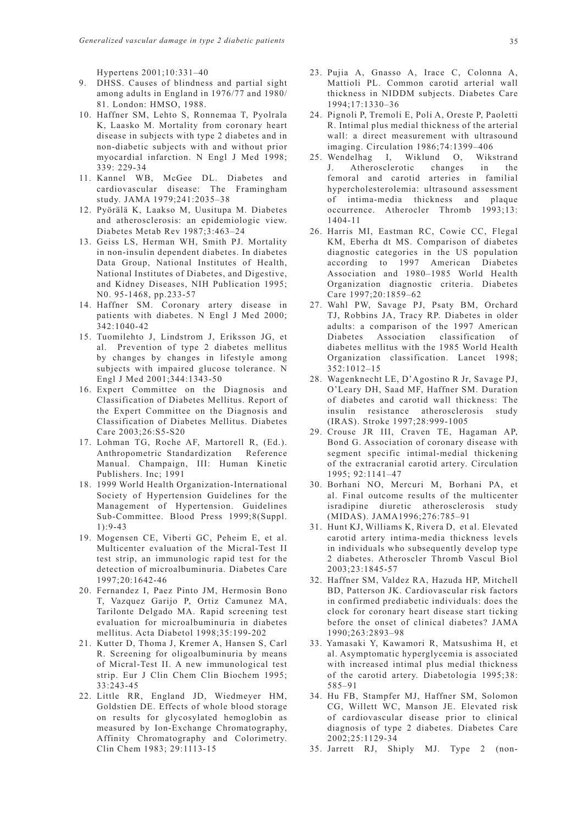Hypertens 2001;10:331–40

- 9. DHSS. Causes of blindness and partial sight among adults in England in 1976/77 and 1980/ 81. London: HMSO, 1988.
- 10. Haffner SM, Lehto S, Ronnemaa T, Pyolrala K, Laasko M. Mortality from coronary heart disease in subjects with type 2 diabetes and in non-diabetic subjects with and without prior myocardial infarction. N Engl J Med 1998; 339: 229-34
- 11. Kannel WB, McGee DL. Diabetes and cardiovascular disease: The Framingham study. JAMA 1979;241:2035–38
- 12. Pyörälä K, Laakso M, Uusitupa M. Diabetes and atherosclerosis: an epidemiologic view. Diabetes Metab Rev 1987;3:463–24
- 13. Geiss LS, Herman WH, Smith PJ. Mortality in non-insulin dependent diabetes. In diabetes Data Group, National Institutes of Health, National Institutes of Diabetes, and Digestive, and Kidney Diseases, NIH Publication 1995; N0. 95-1468, pp.233-57
- 14. Haffner SM. Coronary artery disease in patients with diabetes. N Engl J Med 2000; 342:1040-42
- 15. Tuomilehto J, Lindstrom J, Eriksson JG, et al. Prevention of type 2 diabetes mellitus by changes by changes in lifestyle among subjects with impaired glucose tolerance. N Engl J Med 2001;344:1343-50
- 16. Expert Committee on the Diagnosis and Classification of Diabetes Mellitus. Report of the Expert Committee on the Diagnosis and Classification of Diabetes Mellitus. Diabetes Care 2003;26:S5-S20
- 17. Lohman TG, Roche AF, Martorell R, (Ed.). Anthropometric Standardization Reference Manual. Champaign, III: Human Kinetic Publishers. Inc; 1991
- 18. 1999 World Health Organization-International Society of Hypertension Guidelines for the Management of Hypertension. Guidelines Sub-Committee. Blood Press 1999;8(Suppl. 1):9-43
- 19. Mogensen CE, Viberti GC, Peheim E, et al. Multicenter evaluation of the Micral-Test II test strip, an immunologic rapid test for the detection of microalbuminuria. Diabetes Care 1997;20:1642-46
- 20. Fernandez I, Paez Pinto JM, Hermosin Bono T, Vazquez Garijo P, Ortiz Camunez MA, Tarilonte Delgado MA. Rapid screening test evaluation for microalbuminuria in diabetes mellitus. Acta Diabetol 1998;35:199-202
- 21. Kutter D, Thoma J, Kremer A, Hansen S, Carl R. Screening for oligoalbuminuria by means of Micral-Test II. A new immunological test strip. Eur J Clin Chem Clin Biochem 1995; 33:243-45
- 22. Little RR, England JD, Wiedmeyer HM, Goldstien DE. Effects of whole blood storage on results for glycosylated hemoglobin as measured by Ion-Exchange Chromatography, Affinity Chromatography and Colorimetry. Clin Chem 1983; 29:1113-15
- 23. Pujia A, Gnasso A, Irace C, Colonna A, Mattioli PL. Common carotid arterial wall thickness in NIDDM subjects. Diabetes Care 1994;17:1330–36
- 24. Pignoli P, Tremoli E, Poli A, Oreste P, Paoletti R. Intimal plus medial thickness of the arterial wall: a direct measurement with ultrasound imaging. Circulation 1986;74:1399–406
- 25. Wendelhag I, Wiklund O, Wikstrand J. Atherosclerotic changes in the femoral and carotid arteries in familial hypercholesterolemia: ultrasound assessment of intima-media thickness and plaque occurrence. Atherocler Thromb 1993;13: 1404-11
- 26. Harris MI, Eastman RC, Cowie CC, Flegal KM, Eberha dt MS. Comparison of diabetes diagnostic categories in the US population according to 1997 American Diabetes Association and 1980–1985 World Health Organization diagnostic criteria. Diabetes Care 1997;20:1859–62
- 27. Wahl PW, Savage PJ, Psaty BM, Orchard TJ, Robbins JA, Tracy RP. Diabetes in older adults: a comparison of the 1997 American Diabetes Association classification of diabetes mellitus with the 1985 World Health Organization classification. Lancet 1998; 352:1012–15
- 28. Wagenknecht LE, D'Agostino R Jr, Savage PJ, O'Leary DH, Saad MF, Haffner SM. Duration of diabetes and carotid wall thickness: The insulin resistance atherosclerosis study (IRAS). Stroke 1997;28:999-1005
- 29. Crouse JR III, Craven TE, Hagaman AP, Bond G. Association of coronary disease with segment specific intimal-medial thickening of the extracranial carotid artery. Circulation 1995; 92:1141–47
- 30. Borhani NO, Mercuri M, Borhani PA, et al. Final outcome results of the multicenter isradipine diuretic atherosclerosis study (MIDAS). JAMA1996;276:785–91
- 31. Hunt KJ, Williams K, Rivera D, et al. Elevated carotid artery intima-media thickness levels in individuals who subsequently develop type 2 diabetes. Atheroscler Thromb Vascul Biol 2003;23:1845-57
- 32. Haffner SM, Valdez RA, Hazuda HP, Mitchell BD, Patterson JK. Cardiovascular risk factors in confirmed prediabetic individuals: does the clock for coronary heart disease start ticking before the onset of clinical diabetes? JAMA 1990;263:2893–98
- 33. Yamasaki Y, Kawamori R, Matsushima H, et al. Asymptomatic hyperglycemia is associated with increased intimal plus medial thickness of the carotid artery. Diabetologia 1995;38: 585–91
- 34. Hu FB, Stampfer MJ, Haffner SM, Solomon CG, Willett WC, Manson JE. Elevated risk of cardiovascular disease prior to clinical diagnosis of type 2 diabetes. Diabetes Care 2002;25:1129-34
- 35. Jarrett RJ, Shiply MJ. Type 2 (non-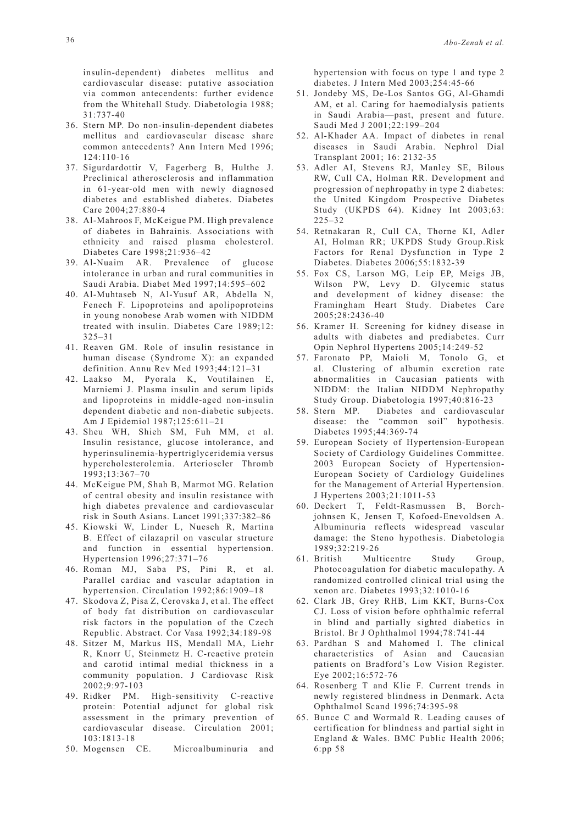insulin-dependent) diabetes mellitus and cardiovascular disease: putative association via common antecendents: further evidence from the Whitehall Study. Diabetologia 1988; 31:737-40

- 36. Stern MP. Do non-insulin-dependent diabetes mellitus and cardiovascular disease share common antecedents? Ann Intern Med 1996; 124:110-16
- 37. Sigurdardottir V, Fagerberg B, Hulthe J. Preclinical atherosclerosis and inflammation in 61-year-old men with newly diagnosed diabetes and established diabetes. Diabetes Care 2004;27:880-4
- 38. Al-Mahroos F, McKeigue PM. High prevalence of diabetes in Bahrainis. Associations with ethnicity and raised plasma cholesterol. Diabetes Care 1998;21:936–42
- 39. Al-Nuaim AR. Prevalence of glucose intolerance in urban and rural communities in Saudi Arabia. Diabet Med 1997;14:595–602
- 40. Al-Muhtaseb N, Al-Yusuf AR, Abdella N, Fenech F. Lipoproteins and apolipoproteins in young nonobese Arab women with NIDDM treated with insulin. Diabetes Care 1989;12: 325–31
- 41. Reaven GM. Role of insulin resistance in human disease (Syndrome X): an expanded definition. Annu Rev Med 1993;44:121–31
- 42. Laakso M, Pyorala K, Voutilainen E, Marniemi J. Plasma insulin and serum lipids and lipoproteins in middle-aged non-insulin dependent diabetic and non-diabetic subjects. Am J Epidemiol 1987;125:611–21
- 43. Sheu WH, Shieh SM, Fuh MM, et al. Insulin resistance, glucose intolerance, and hyperinsulinemia-hypertriglyceridemia versus hypercholesterolemia. Arterioscler Thromb 1993;13:367–70
- 44. McKeigue PM, Shah B, Marmot MG. Relation of central obesity and insulin resistance with high diabetes prevalence and cardiovascular risk in South Asians. Lancet 1991;337:382–86
- 45. Kiowski W, Linder L, Nuesch R, Martina B. Effect of cilazapril on vascular structure and function in essential hypertension. Hypertension 1996;27:371–76
- 46. Roman MJ, Saba PS, Pini R, et al. Parallel cardiac and vascular adaptation in hypertension. Circulation 1992;86:1909–18
- 47. Skodova Z, Pisa Z, Cerovska J, et al. The effect of body fat distribution on cardiovascular risk factors in the population of the Czech Republic. Abstract. Cor Vasa 1992;34:189-98
- 48. Sitzer M, Markus HS, Mendall MA, Liehr R, Knorr U, Steinmetz H. C-reactive protein and carotid intimal medial thickness in a community population. J Cardiovasc Risk 2002;9:97-103
- 49. Ridker PM. High-sensitivity C-reactive protein: Potential adjunct for global risk assessment in the primary prevention of cardiovascular disease. Circulation 2001; 103:1813-18
- 50. Mogensen CE. Microalbuminuria and

hypertension with focus on type 1 and type 2 diabetes. J Intern Med 2003;254:45-66

- 51. Jondeby MS, De-Los Santos GG, Al-Ghamdi AM, et al. Caring for haemodialysis patients in Saudi Arabia—past, present and future. Saudi Med J 2001;22:199–204
- 52. Al-Khader AA. Impact of diabetes in renal diseases in Saudi Arabia. Nephrol Dial Transplant 2001; 16: 2132-35
- 53. Adler AI, Stevens RJ, Manley SE, Bilous RW, Cull CA, Holman RR. Development and progression of nephropathy in type 2 diabetes: the United Kingdom Prospective Diabetes Study (UKPDS 64). Kidney Int 2003;63: 225–32
- 54. Retnakaran R, Cull CA, Thorne KI, Adler AI, Holman RR; UKPDS Study Group.Risk Factors for Renal Dysfunction in Type 2 Diabetes. Diabetes 2006;55:1832-39
- 55. Fox CS, Larson MG, Leip EP, Meigs JB, Wilson PW, Levy D. Glycemic status and development of kidney disease: the Framingham Heart Study. Diabetes Care 2005;28:2436-40
- 56. Kramer H. Screening for kidney disease in adults with diabetes and prediabetes. Curr Opin Nephrol Hypertens 2005;14:249-52
- 57. Faronato PP, Maioli M, Tonolo G, et al. Clustering of albumin excretion rate abnormalities in Caucasian patients with NIDDM: the Italian NIDDM Nephropathy Study Group. Diabetologia 1997;40:816-23
- 58. Stern MP. Diabetes and cardiovascular disease: the "common soil" hypothesis. Diabetes 1995;44:369-74
- 59. European Society of Hypertension-European Society of Cardiology Guidelines Committee. 2003 European Society of Hypertension-European Society of Cardiology Guidelines for the Management of Arterial Hypertension. J Hypertens 2003;21:1011-53
- 60. Deckert T, Feldt-Rasmussen B, Borchjohnsen K, Jensen T, Kofoed-Enevoldsen A. Albuminuria reflects widespread vascular damage: the Steno hypothesis. Diabetologia 1989;32:219-26
- 61. British Multicentre Study Group, Photocoagulation for diabetic maculopathy. A randomized controlled clinical trial using the xenon arc. Diabetes 1993;32:1010-16
- 62. Clark JB, Grey RHB, Lim KKT, Burns-Cox CJ. Loss of vision before ophthalmic referral in blind and partially sighted diabetics in Bristol. Br J Ophthalmol 1994;78:741-44
- 63. Pardhan S and Mahomed I. The clinical characteristics of Asian and Caucasian patients on Bradford's Low Vision Register. Eye 2002;16:572-76
- 64. Rosenberg T and Klie F. Current trends in newly registered blindness in Denmark. Acta Ophthalmol Scand 1996;74:395-98
- 65. Bunce C and Wormald R. Leading causes of certification for blindness and partial sight in England & Wales. BMC Public Health 2006; 6:pp 58